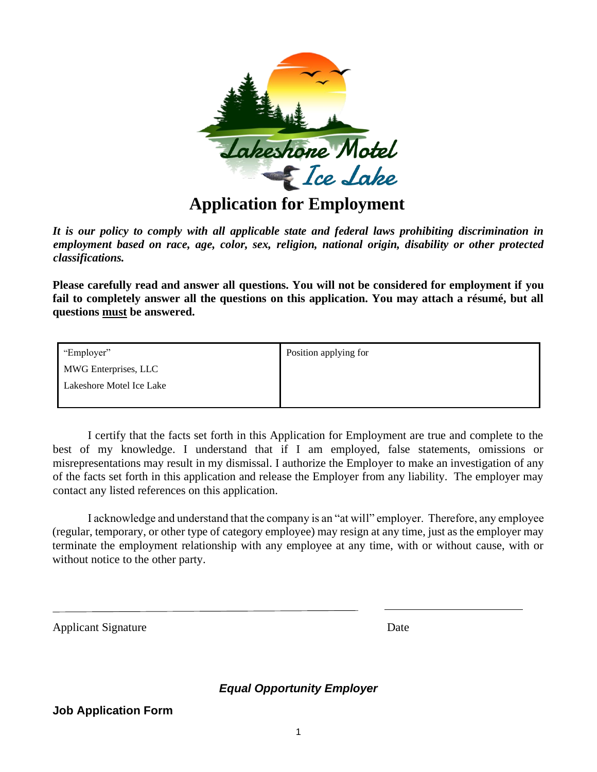

## **Application for Employment**

*It is our policy to comply with all applicable state and federal laws prohibiting discrimination in employment based on race, age, color, sex, religion, national origin, disability or other protected classifications.* 

**Please carefully read and answer all questions. You will not be considered for employment if you fail to completely answer all the questions on this application. You may attach a résumé, but all questions must be answered.** 

| "Employer"               | Position applying for |
|--------------------------|-----------------------|
| MWG Enterprises, LLC     |                       |
| Lakeshore Motel Ice Lake |                       |
|                          |                       |

I certify that the facts set forth in this Application for Employment are true and complete to the best of my knowledge. I understand that if I am employed, false statements, omissions or misrepresentations may result in my dismissal. I authorize the Employer to make an investigation of any of the facts set forth in this application and release the Employer from any liability. The employer may contact any listed references on this application.

I acknowledge and understand that the company is an "at will" employer. Therefore, any employee (regular, temporary, or other type of category employee) may resign at any time, just as the employer may terminate the employment relationship with any employee at any time, with or without cause, with or without notice to the other party.

Applicant Signature Date

*Equal Opportunity Employer*

## **Job Application Form**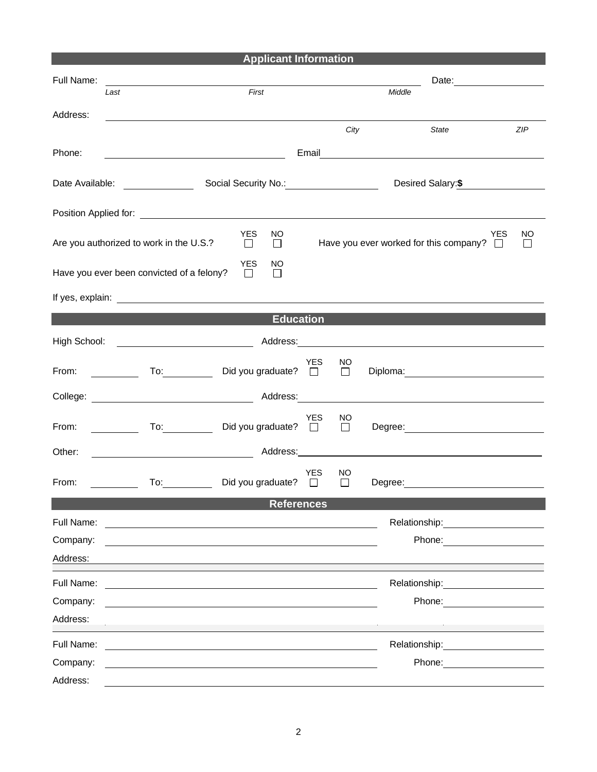| <b>Applicant Information</b>                                                                                                                                                                                                                                                                        |                                                                                                                                                                                                                                      |                                        |            |              |         |                                                                                                                                                                                                                                |                                  |
|-----------------------------------------------------------------------------------------------------------------------------------------------------------------------------------------------------------------------------------------------------------------------------------------------------|--------------------------------------------------------------------------------------------------------------------------------------------------------------------------------------------------------------------------------------|----------------------------------------|------------|--------------|---------|--------------------------------------------------------------------------------------------------------------------------------------------------------------------------------------------------------------------------------|----------------------------------|
| Full Name:                                                                                                                                                                                                                                                                                          |                                                                                                                                                                                                                                      |                                        |            |              |         |                                                                                                                                                                                                                                |                                  |
|                                                                                                                                                                                                                                                                                                     | Last                                                                                                                                                                                                                                 | First                                  |            | Middle       |         |                                                                                                                                                                                                                                |                                  |
| Address:                                                                                                                                                                                                                                                                                            |                                                                                                                                                                                                                                      |                                        |            | City         |         | State                                                                                                                                                                                                                          | ZIP                              |
|                                                                                                                                                                                                                                                                                                     |                                                                                                                                                                                                                                      |                                        |            |              |         |                                                                                                                                                                                                                                |                                  |
| Phone:<br>Email Property of the Contract of the Contract of the Contract of the Contract of the Contract of the Contract of the Contract of the Contract of the Contract of the Contract of the Contract of the Contract of the Contract<br><u> 1989 - Johann Barbara, martin amerikan basar da</u> |                                                                                                                                                                                                                                      |                                        |            |              |         |                                                                                                                                                                                                                                |                                  |
|                                                                                                                                                                                                                                                                                                     | Desired Salary: \$                                                                                                                                                                                                                   |                                        |            |              |         |                                                                                                                                                                                                                                |                                  |
|                                                                                                                                                                                                                                                                                                     |                                                                                                                                                                                                                                      |                                        |            |              |         |                                                                                                                                                                                                                                |                                  |
|                                                                                                                                                                                                                                                                                                     | Are you authorized to work in the U.S.?                                                                                                                                                                                              | YES<br>NO.<br>$\Box$<br>$\Box$         |            |              |         | Have you ever worked for this company? $\Box$                                                                                                                                                                                  | <b>YES</b><br>NO<br>$\mathbf{I}$ |
|                                                                                                                                                                                                                                                                                                     | Have you ever been convicted of a felony?                                                                                                                                                                                            | <b>YES</b><br>NO.<br>$\Box$<br>$\perp$ |            |              |         |                                                                                                                                                                                                                                |                                  |
|                                                                                                                                                                                                                                                                                                     | If yes, explain: <u>example and the set of the set of the set of the set of the set of the set of the set of the set of the set of the set of the set of the set of the set of the set of the set of the set of the set of the s</u> |                                        |            |              |         |                                                                                                                                                                                                                                |                                  |
|                                                                                                                                                                                                                                                                                                     |                                                                                                                                                                                                                                      | <b>Education</b>                       |            |              |         |                                                                                                                                                                                                                                |                                  |
|                                                                                                                                                                                                                                                                                                     |                                                                                                                                                                                                                                      |                                        |            |              |         |                                                                                                                                                                                                                                |                                  |
| From:                                                                                                                                                                                                                                                                                               | $\begin{array}{cccccccccc} & & & & \text{To:} & & \ \hline & & & & \text{To:} & \ \end{array}$                                                                                                                                       | Did you graduate? $\Box$               | YES        | NO<br>$\Box$ |         | Diploma: 2000 Company Company Company Company Company Company Company Company Company Company Company Company Company Company Company Company Company Company Company Company Company Company Company Company Company Company  |                                  |
|                                                                                                                                                                                                                                                                                                     | College: National College: Address: National Address: National Address: National Address: National Address: National Address: National Address: National Address: National Address: National Address: National Address: Nation       |                                        |            |              |         |                                                                                                                                                                                                                                |                                  |
| From:                                                                                                                                                                                                                                                                                               | $\overline{a}$ To:                                                                                                                                                                                                                   | Did you graduate? $\square$            | <b>YES</b> | NO<br>$\Box$ |         | Degree: <u>________________________</u>                                                                                                                                                                                        |                                  |
| Other:                                                                                                                                                                                                                                                                                              |                                                                                                                                                                                                                                      | Address:_____________                  |            |              |         |                                                                                                                                                                                                                                |                                  |
| From:                                                                                                                                                                                                                                                                                               | To:                                                                                                                                                                                                                                  | Did you graduate? $\square$            | <b>YES</b> | NO.<br>П     | Degree: |                                                                                                                                                                                                                                |                                  |
| <b>References</b>                                                                                                                                                                                                                                                                                   |                                                                                                                                                                                                                                      |                                        |            |              |         |                                                                                                                                                                                                                                |                                  |
| Full Name:                                                                                                                                                                                                                                                                                          | <u>a sa barang sa mga sangang nagarang nagarang nagarang nagarang nagarang nagarang nagarang nagarang nagarang na</u>                                                                                                                |                                        |            |              |         |                                                                                                                                                                                                                                |                                  |
| Company:<br>Address:                                                                                                                                                                                                                                                                                |                                                                                                                                                                                                                                      |                                        |            |              |         |                                                                                                                                                                                                                                |                                  |
| Full Name:                                                                                                                                                                                                                                                                                          | <u> 1980 - John Stein, marking and de families and de families and de families and de families and design and de</u>                                                                                                                 |                                        |            |              |         | Relationship: 2000                                                                                                                                                                                                             |                                  |
| Company:                                                                                                                                                                                                                                                                                            |                                                                                                                                                                                                                                      |                                        |            |              |         | Phone: The contract of the contract of the contract of the contract of the contract of the contract of the contract of the contract of the contract of the contract of the contract of the contract of the contract of the con |                                  |
| Address:                                                                                                                                                                                                                                                                                            |                                                                                                                                                                                                                                      |                                        |            |              |         |                                                                                                                                                                                                                                |                                  |
| Full Name:                                                                                                                                                                                                                                                                                          |                                                                                                                                                                                                                                      |                                        |            |              |         | Relationship: Note that                                                                                                                                                                                                        |                                  |
| Company:                                                                                                                                                                                                                                                                                            |                                                                                                                                                                                                                                      |                                        |            |              |         | Phone: <u>_____________________</u>                                                                                                                                                                                            |                                  |
| Address:                                                                                                                                                                                                                                                                                            |                                                                                                                                                                                                                                      |                                        |            |              |         |                                                                                                                                                                                                                                |                                  |